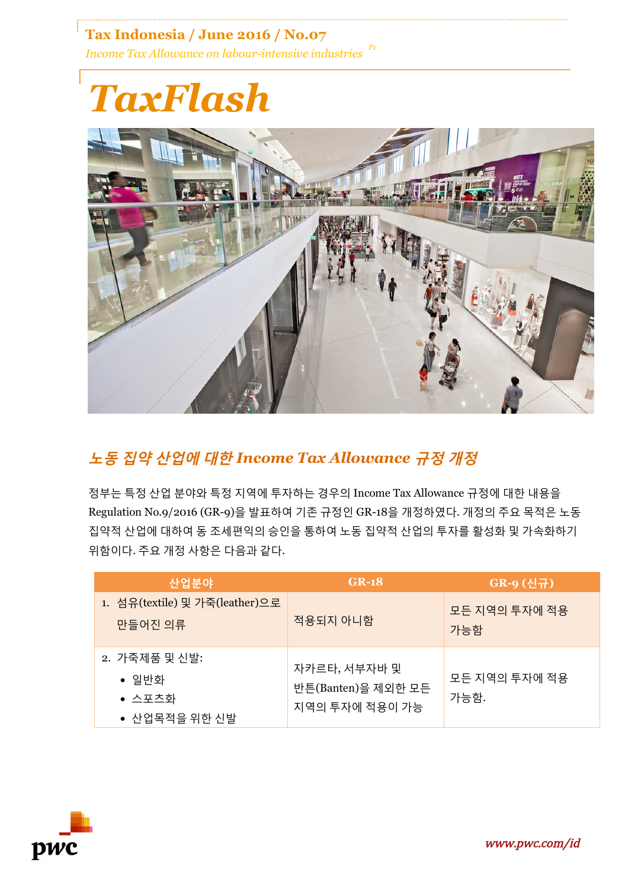**Tax Indonesia / June 2016 / No.07** *Income Tax Allowance on labour-intensive industries P1*

## *TaxFlash*



## **노동 집약 산업에 대한** *Income Tax Allowance* **규정 개정**

정부는 특정 산업 분야와 특정 지역에 투자하는 경우의 Income Tax Allowance 규정에 대한 내용을 Regulation No.9/2016 (GR-9)을 발표하여 기존 규정인 GR-18을 개정하였다. 개정의 주요 목적은 노동 집약적 산업에 대하여 동 조세편익의 승인을 통하여 노동 집약적 산업의 투자를 활성화 및 가속화하기 위함이다. 주요 개정 사항은 다음과 같다.

| 산업분야                                                      | $GR-18$                                              | GR-9 (신규)             |
|-----------------------------------------------------------|------------------------------------------------------|-----------------------|
| 1. 섬유(textile) 및 가죽(leather)으로<br>만들어진 의류                 | 적용되지 아니함                                             | 모든 지역의 투자에 적용<br>가능함  |
| 2. 가죽제품 및 신발:<br>• 일반화<br>$\bullet$ 스포츠화<br>● 산업목적을 위한 신발 | 자카르타, 서부자바 및<br>반튼(Banten)을 제외한 모든<br>지역의 투자에 적용이 가능 | 모든 지역의 투자에 적용<br>가능함. |

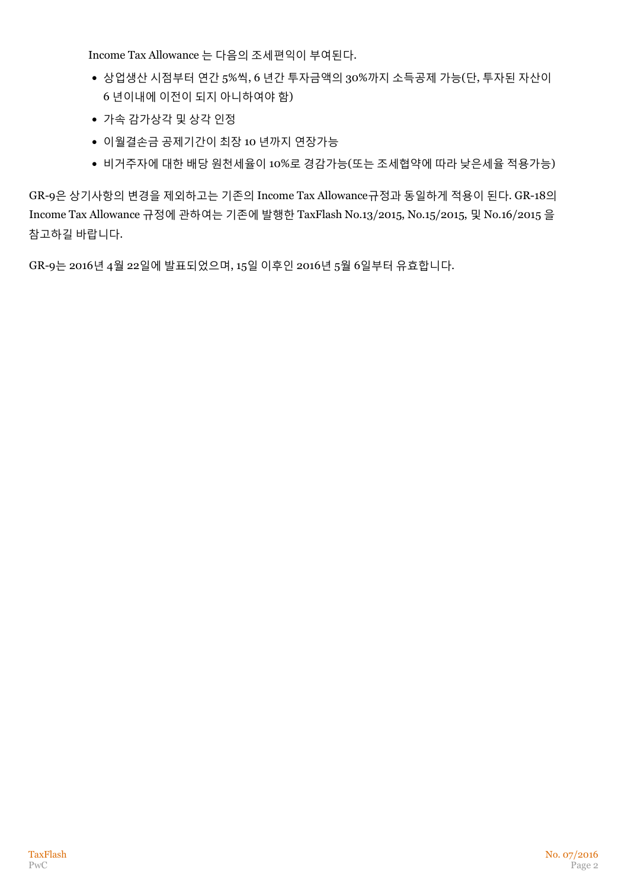Income Tax Allowance 는 다음의 조세편익이 부여된다.

- 상업생산 시점부터 연간 5%씩, 6 년간 투자금액의 30%까지 소득공제 가능(단, 투자된 자산이 6 년이내에 이전이 되지 아니하여야 함)
- 가속 감가상각 및 상각 인정
- 이월결손금 공제기간이 최장 10 년까지 연장가능
- 비거주자에 대한 배당 원천세율이 10%로 경감가능(또는 조세협약에 따라 낮은세율 적용가능)

GR-9은 상기사항의 변경을 제외하고는 기존의 Income Tax Allowance규정과 동일하게 적용이 된다. GR-18의 Income Tax Allowance 규정에 관하여는 기존에 발행한 TaxFlash No.13/2015, No.15/2015, 및 No.16/2015 을 참고하길 바랍니다.

GR-9는 2016년 4월 22일에 발표되었으며, 15일 이후인 2016년 5월 6일부터 유효합니다.